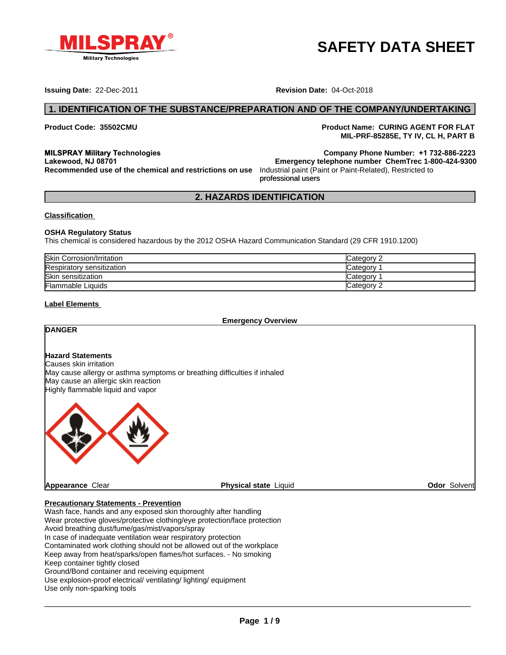

# **SAFETY DATA SHEET**

**Issuing Date:** 22-Dec-2011 **Revision Date:** 04-Oct-2018

**Product Code: 35502CMU Product Name: CURING AGENT FOR FLAT MIL-PRF-85285E, TY IV, CL H, PART B**

**The Company Phone Number:**  $+1$  **732-886-2223**<br> **The Company Phone Number:**  $+1$  **732-886-2223** 

professional users**MILSPRAY Military Technologies Lakewood, NJ 08701** 

professional users **2. HAZARDS IDENTIFICATION**<br> **2. HAZARDS IDENTIFICATION**<br> **2. HAZARDS IDENTIFICATION**<br> **2. HAZARDS IDENTIFICATION**<br> **2. HAZARDS IDENTIFICATION**<br> **2. HAZARDS IDENTIFICATION Emergency telephone number ChemTrec 1-800-424-9300 Recommended use of the chemical and restrictions on use** Industrial paint (Paint or Paint-Related), Restricted to

#### **Classification**

#### **OSHA Regulatory Status**

This chemical is considered hazardous by the 2012 OSHA Hazard Communication Standard (29 CFR 1910.1200)

| <b>Skin Corrosion/Irritation</b> | $\mathsf{C}$ ategory $\mathcal P$ |
|----------------------------------|-----------------------------------|
| Respiratory sensitization        | Category                          |
| Skin sensitization               | ategoryٽ                          |
| Flammable Liquids                | Category $\degree$                |

#### **Label Elements**

**Emergency Overview**

# **DANGER**

# **Hazard Statements**

Causes skin irritation May cause allergy or asthma symptoms or breathing difficulties if inhaled May cause an allergic skin reaction Highly flammable liquid and vapor



**Odor** Solvent

#### **Precautionary Statements - Prevention**

Wash face, hands and any exposed skin thoroughly after handling Wear protective gloves/protective clothing/eye protection/face protection Avoid breathing dust/fume/gas/mist/vapors/spray In case of inadequate ventilation wear respiratory protection Contaminated work clothing should not be allowed out of the workplace Keep away from heat/sparks/open flames/hot surfaces. - No smoking Keep container tightly closed Ground/Bond container and receiving equipment Use explosion-proof electrical/ ventilating/ lighting/ equipment Use only non-sparking tools

 $\_$  ,  $\_$  ,  $\_$  ,  $\_$  ,  $\_$  ,  $\_$  ,  $\_$  ,  $\_$  ,  $\_$  ,  $\_$  ,  $\_$  ,  $\_$  ,  $\_$  ,  $\_$  ,  $\_$  ,  $\_$  ,  $\_$  ,  $\_$  ,  $\_$  ,  $\_$  ,  $\_$  ,  $\_$  ,  $\_$  ,  $\_$  ,  $\_$  ,  $\_$  ,  $\_$  ,  $\_$  ,  $\_$  ,  $\_$  ,  $\_$  ,  $\_$  ,  $\_$  ,  $\_$  ,  $\_$  ,  $\_$  ,  $\_$  ,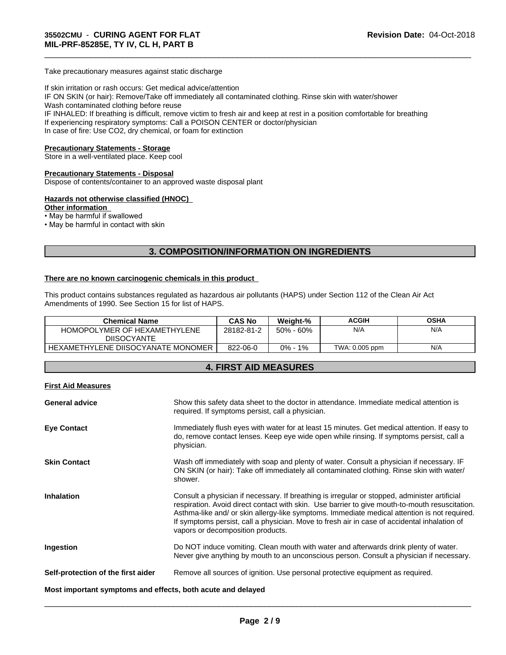Take precautionary measures against static discharge

If skin irritation or rash occurs: Get medical advice/attention IF ON SKIN (or hair): Remove/Take off immediately all contaminated clothing. Rinse skin with water/shower Wash contaminated clothing before reuse IF INHALED: If breathing is difficult, remove victim to fresh air and keep at rest in a position comfortable for breathing If experiencing respiratory symptoms: Call a POISON CENTER or doctor/physician In case of fire: Use CO2, dry chemical, or foam for extinction

\_\_\_\_\_\_\_\_\_\_\_\_\_\_\_\_\_\_\_\_\_\_\_\_\_\_\_\_\_\_\_\_\_\_\_\_\_\_\_\_\_\_\_\_\_\_\_\_\_\_\_\_\_\_\_\_\_\_\_\_\_\_\_\_\_\_\_\_\_\_\_\_\_\_\_\_\_\_\_\_\_\_\_\_\_\_\_\_\_\_\_\_\_

#### **Precautionary Statements - Storage**

Store in a well-ventilated place. Keep cool

# **Precautionary Statements - Disposal**

Dispose of contents/container to an approved waste disposal plant

#### **Hazards not otherwise classified (HNOC)**

#### **Other information**

• May be harmful if swallowed

• May be harmful in contact with skin

# **3. COMPOSITION/INFORMATION ON INGREDIENTS**

#### **There are no known carcinogenic chemicals in this product**

This product contains substances regulated as hazardous air pollutants (HAPS) under Section 112 of the Clean Air Act Amendments of 1990. See Section 15 for list of HAPS.

| <b>Chemical Name</b>               | <b>CAS No</b> | Weight-%        | ACGIH          | <b>OSHA</b> |
|------------------------------------|---------------|-----------------|----------------|-------------|
| HOMOPOLYMER OF HEXAMETHYLENE       | 28182-81-2    | $50\% - 60\%$   | N/A            | N/A         |
| <b>DIISOCYANTE</b>                 |               |                 |                |             |
| HEXAMETHYLENE DIISOCYANATE MONOMER | 822-06-0      | $1\%$<br>$0% -$ | TWA: 0.005 ppm | N/A         |

# **4. FIRST AID MEASURES**

|--|--|--|--|

| <b>General advice</b>                                       | Show this safety data sheet to the doctor in attendance. Immediate medical attention is<br>required. If symptoms persist, call a physician.                                                                                                                                                                                                                                                                                          |  |
|-------------------------------------------------------------|--------------------------------------------------------------------------------------------------------------------------------------------------------------------------------------------------------------------------------------------------------------------------------------------------------------------------------------------------------------------------------------------------------------------------------------|--|
| <b>Eye Contact</b>                                          | Immediately flush eyes with water for at least 15 minutes. Get medical attention. If easy to<br>do, remove contact lenses. Keep eye wide open while rinsing. If symptoms persist, call a<br>physician.                                                                                                                                                                                                                               |  |
| <b>Skin Contact</b>                                         | Wash off immediately with soap and plenty of water. Consult a physician if necessary. IF<br>ON SKIN (or hair): Take off immediately all contaminated clothing. Rinse skin with water/<br>shower.                                                                                                                                                                                                                                     |  |
| <b>Inhalation</b>                                           | Consult a physician if necessary. If breathing is irregular or stopped, administer artificial<br>respiration. Avoid direct contact with skin. Use barrier to give mouth-to-mouth resuscitation.<br>Asthma-like and/ or skin allergy-like symptoms. Immediate medical attention is not required.<br>If symptoms persist, call a physician. Move to fresh air in case of accidental inhalation of<br>vapors or decomposition products. |  |
| Ingestion                                                   | Do NOT induce vomiting. Clean mouth with water and afterwards drink plenty of water.<br>Never give anything by mouth to an unconscious person. Consult a physician if necessary.                                                                                                                                                                                                                                                     |  |
| Self-protection of the first aider                          | Remove all sources of ignition. Use personal protective equipment as required.                                                                                                                                                                                                                                                                                                                                                       |  |
| Most important symptoms and effects, both acute and delayed |                                                                                                                                                                                                                                                                                                                                                                                                                                      |  |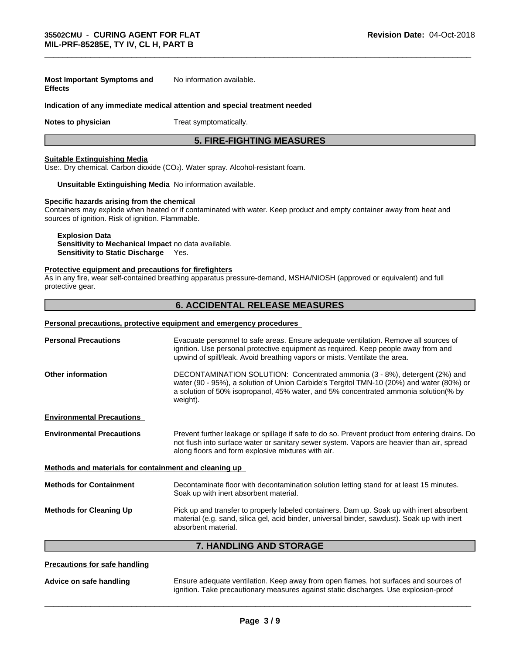#### **Most Important Symptoms and Effects** No information available.

#### **Indication of any immediate medical attention and special treatment needed**

**Notes to physician** Treat symptomatically.

# **5. FIRE-FIGHTING MEASURES**

\_\_\_\_\_\_\_\_\_\_\_\_\_\_\_\_\_\_\_\_\_\_\_\_\_\_\_\_\_\_\_\_\_\_\_\_\_\_\_\_\_\_\_\_\_\_\_\_\_\_\_\_\_\_\_\_\_\_\_\_\_\_\_\_\_\_\_\_\_\_\_\_\_\_\_\_\_\_\_\_\_\_\_\_\_\_\_\_\_\_\_\_\_

#### **Suitable Extinguishing Media**

Use:. Dry chemical. Carbon dioxide (CO<sub>2</sub>). Water spray. Alcohol-resistant foam.

# **Unsuitable Extinguishing Media** No information available.

# **Specific hazards arising from the chemical**

Containers may explode when heated or if contaminated with water. Keep product and empty container away from heat and sources of ignition. Risk of ignition. Flammable.

#### **Explosion Data**

**Sensitivity to Mechanical Impact** no data available. **Sensitivity to Static Discharge** Yes.

#### **Protective equipment and precautions for firefighters**

As in any fire, wear self-contained breathing apparatus pressure-demand, MSHA/NIOSH (approved or equivalent) and full protective gear.

# **6. ACCIDENTAL RELEASE MEASURES**

### **Personal precautions, protective equipment and emergency procedures**

| <b>Personal Precautions</b>                           | Evacuate personnel to safe areas. Ensure adequate ventilation. Remove all sources of<br>ignition. Use personal protective equipment as required. Keep people away from and<br>upwind of spill/leak. Avoid breathing vapors or mists. Ventilate the area.                   |
|-------------------------------------------------------|----------------------------------------------------------------------------------------------------------------------------------------------------------------------------------------------------------------------------------------------------------------------------|
| <b>Other information</b>                              | DECONTAMINATION SOLUTION: Concentrated ammonia (3 - 8%), detergent (2%) and<br>water (90 - 95%), a solution of Union Carbide's Tergitol TMN-10 (20%) and water (80%) or<br>a solution of 50% isopropanol, 45% water, and 5% concentrated ammonia solution(% by<br>weight). |
| <b>Environmental Precautions</b>                      |                                                                                                                                                                                                                                                                            |
| <b>Environmental Precautions</b>                      | Prevent further leakage or spillage if safe to do so. Prevent product from entering drains. Do<br>not flush into surface water or sanitary sewer system. Vapors are heavier than air, spread<br>along floors and form explosive mixtures with air.                         |
| Methods and materials for containment and cleaning up |                                                                                                                                                                                                                                                                            |
| <b>Methods for Containment</b>                        | Decontaminate floor with decontamination solution letting stand for at least 15 minutes.<br>Soak up with inert absorbent material.                                                                                                                                         |
| <b>Methods for Cleaning Up</b>                        | Pick up and transfer to properly labeled containers. Dam up. Soak up with inert absorbent<br>material (e.g. sand, silica gel, acid binder, universal binder, sawdust). Soak up with inert<br>absorbent material.                                                           |
|                                                       | <b>7. HANDLING AND STORAGE</b>                                                                                                                                                                                                                                             |
| <b>Precautions for safe handling</b>                  |                                                                                                                                                                                                                                                                            |

**Advice on safe handling** Ensure adequate ventilation. Keep away from open flames, hot surfaces and sources of ignition. Take precautionary measures against static discharges. Use explosion-proof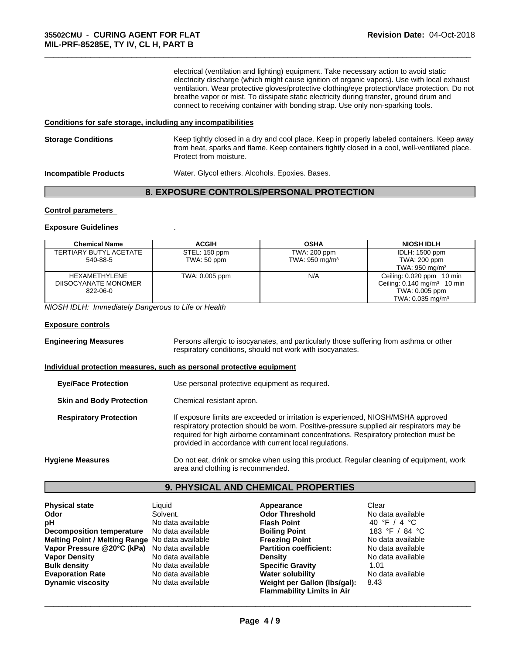electrical (ventilation and lighting) equipment. Take necessary action to avoid static electricity discharge (which might cause ignition of organic vapors). Use with local exhaust ventilation. Wear protective gloves/protective clothing/eye protection/face protection. Do not breathe vapor or mist. To dissipate static electricity during transfer, ground drum and connect to receiving container with bonding strap. Use only non-sparking tools.

\_\_\_\_\_\_\_\_\_\_\_\_\_\_\_\_\_\_\_\_\_\_\_\_\_\_\_\_\_\_\_\_\_\_\_\_\_\_\_\_\_\_\_\_\_\_\_\_\_\_\_\_\_\_\_\_\_\_\_\_\_\_\_\_\_\_\_\_\_\_\_\_\_\_\_\_\_\_\_\_\_\_\_\_\_\_\_\_\_\_\_\_\_

#### **Conditions for safe storage, including any incompatibilities**

| <b>Storage Conditions</b>    | Keep tightly closed in a dry and cool place. Keep in properly labeled containers. Keep away<br>from heat, sparks and flame. Keep containers tightly closed in a cool, well-ventilated place.<br>Protect from moisture. |
|------------------------------|------------------------------------------------------------------------------------------------------------------------------------------------------------------------------------------------------------------------|
| <b>Incompatible Products</b> | Water. Glycol ethers. Alcohols. Epoxies. Bases.                                                                                                                                                                        |

# **8. EXPOSURE CONTROLS/PERSONAL PROTECTION**

#### **Control parameters**

#### **Exposure Guidelines** .

| <b>Chemical Name</b>   | <b>ACGIH</b>   | <b>OSHA</b>       | <b>NIOSH IDLH</b>                         |
|------------------------|----------------|-------------------|-------------------------------------------|
| TERTIARY BUTYL ACETATE | STEL: 150 ppm  | TWA: 200 ppm      | IDLH: 1500 ppm                            |
| 540-88-5               | TWA: 50 ppm    | TWA: 950 mg/m $3$ | TWA: 200 ppm                              |
|                        |                |                   | TWA: $950 \text{ mg/m}^3$                 |
| HEXAMETHYLENE          | TWA: 0.005 ppm | N/A               | Ceiling: 0.020 ppm<br>10 min              |
| DIISOCYANATE MONOMER   |                |                   | Ceiling: $0.140$ mg/m <sup>3</sup> 10 min |
| 822-06-0               |                |                   | TWA: 0.005 ppm                            |
|                        |                |                   | TWA: $0.035 \text{ mg/m}^3$               |

*NIOSH IDLH: Immediately Dangerous to Life or Health*

#### **Exposure controls**

| <b>Engineering Measures</b>     | Persons allergic to isocyanates, and particularly those suffering from asthma or other<br>respiratory conditions, should not work with isocyanates.                                                                                                                                                                              |  |
|---------------------------------|----------------------------------------------------------------------------------------------------------------------------------------------------------------------------------------------------------------------------------------------------------------------------------------------------------------------------------|--|
|                                 | Individual protection measures, such as personal protective equipment                                                                                                                                                                                                                                                            |  |
| <b>Eye/Face Protection</b>      | Use personal protective equipment as required.                                                                                                                                                                                                                                                                                   |  |
| <b>Skin and Body Protection</b> | Chemical resistant apron.                                                                                                                                                                                                                                                                                                        |  |
| <b>Respiratory Protection</b>   | If exposure limits are exceeded or irritation is experienced, NIOSH/MSHA approved<br>respiratory protection should be worn. Positive-pressure supplied air respirators may be<br>required for high airborne contaminant concentrations. Respiratory protection must be<br>provided in accordance with current local regulations. |  |
| <b>Hygiene Measures</b>         | Do not eat, drink or smoke when using this product. Regular cleaning of equipment, work<br>area and clothing is recommended.                                                                                                                                                                                                     |  |

### **9. PHYSICAL AND CHEMICAL PROPERTIES**

| <b>Physical state</b>                           | Liauid            | Appearance                        | Clear             |
|-------------------------------------------------|-------------------|-----------------------------------|-------------------|
| Odor                                            | Solvent.          | <b>Odor Threshold</b>             | No data available |
| рH                                              | No data available | <b>Flash Point</b>                | 40 °F / 4 °C      |
| <b>Decomposition temperature</b>                | No data available | <b>Boiling Point</b>              | 183 °F / 84 °C    |
| Melting Point / Melting Range No data available |                   | <b>Freezing Point</b>             | No data available |
| Vapor Pressure @20°C (kPa)                      | No data available | <b>Partition coefficient:</b>     | No data available |
| <b>Vapor Density</b>                            | No data available | <b>Density</b>                    | No data available |
| <b>Bulk density</b>                             | No data available | <b>Specific Gravity</b>           | 1.01              |
| <b>Evaporation Rate</b>                         | No data available | <b>Water solubility</b>           | No data available |
| <b>Dynamic viscosity</b>                        | No data available | Weight per Gallon (Ibs/gal):      | 8.43              |
|                                                 |                   | <b>Flammability Limits in Air</b> |                   |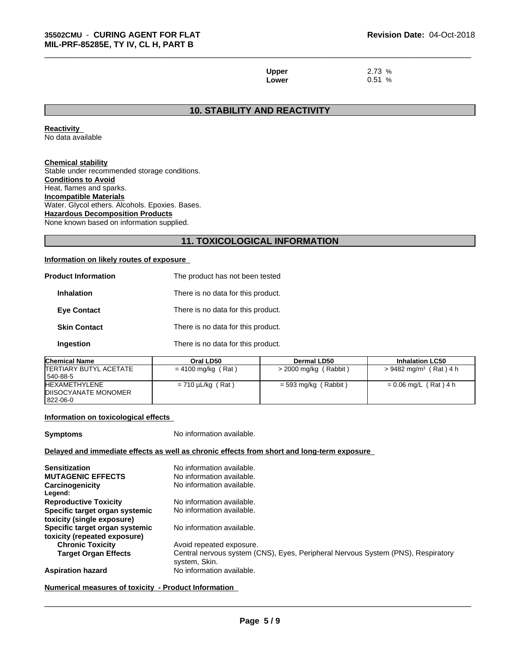**Upper** 2.73 % **Lower** 0.51 %

\_\_\_\_\_\_\_\_\_\_\_\_\_\_\_\_\_\_\_\_\_\_\_\_\_\_\_\_\_\_\_\_\_\_\_\_\_\_\_\_\_\_\_\_\_\_\_\_\_\_\_\_\_\_\_\_\_\_\_\_\_\_\_\_\_\_\_\_\_\_\_\_\_\_\_\_\_\_\_\_\_\_\_\_\_\_\_\_\_\_\_\_\_

# **10. STABILITY AND REACTIVITY**

**Reactivity** No data available

# **Chemical stability**

Stable under recommended storage conditions. **Conditions to Avoid** Heat, flames and sparks. **Incompatible Materials** Water. Glycol ethers. Alcohols. Epoxies. Bases. **Hazardous Decomposition Products** None known based on information supplied.

# **11. TOXICOLOGICAL INFORMATION**

# **Information on likely routes of exposure**

| <b>Product Information</b> | The product has not been tested    |  |
|----------------------------|------------------------------------|--|
| <b>Inhalation</b>          | There is no data for this product. |  |
| <b>Eve Contact</b>         | There is no data for this product. |  |
| <b>Skin Contact</b>        | There is no data for this product. |  |
| Ingestion                  | There is no data for this product. |  |

| <b>Chemical Name</b>           | Oral LD50              | <b>Dermal LD50</b>      | <b>Inhalation LC50</b>               |
|--------------------------------|------------------------|-------------------------|--------------------------------------|
| <b>ITERTIARY BUTYL ACETATE</b> | $= 4100$ mg/kg (Rat)   | $>$ 2000 mg/kg (Rabbit) | $> 9482$ mg/m <sup>3</sup> (Rat) 4 h |
| 540-88-5                       |                        |                         |                                      |
| <b>HEXAMETHYLENE</b>           | $= 710 \mu L/kg$ (Rat) | = 593 mg/kg (Rabbit)    | $= 0.06$ mg/L (Rat) 4 h              |
| <b>DIISOCYANATE MONOMER</b>    |                        |                         |                                      |
| 822-06-0                       |                        |                         |                                      |

#### **Information on toxicological effects**

**Symptoms** No information available.

#### **Delayed and immediate effects as well as chronic effects from short and long-term exposure**

| <b>Sensitization</b>           | No information available.                                                                         |
|--------------------------------|---------------------------------------------------------------------------------------------------|
| <b>MUTAGENIC EFFECTS</b>       | No information available.                                                                         |
| Carcinogenicity<br>Legend:     | No information available.                                                                         |
| <b>Reproductive Toxicity</b>   | No information available.                                                                         |
| Specific target organ systemic | No information available.                                                                         |
| toxicity (single exposure)     |                                                                                                   |
| Specific target organ systemic | No information available.                                                                         |
| toxicity (repeated exposure)   |                                                                                                   |
| <b>Chronic Toxicity</b>        | Avoid repeated exposure.                                                                          |
| <b>Target Organ Effects</b>    | Central nervous system (CNS), Eyes, Peripheral Nervous System (PNS), Respiratory<br>system, Skin. |
| <b>Aspiration hazard</b>       | No information available.                                                                         |
|                                |                                                                                                   |

#### **Numerical measures of toxicity - Product Information**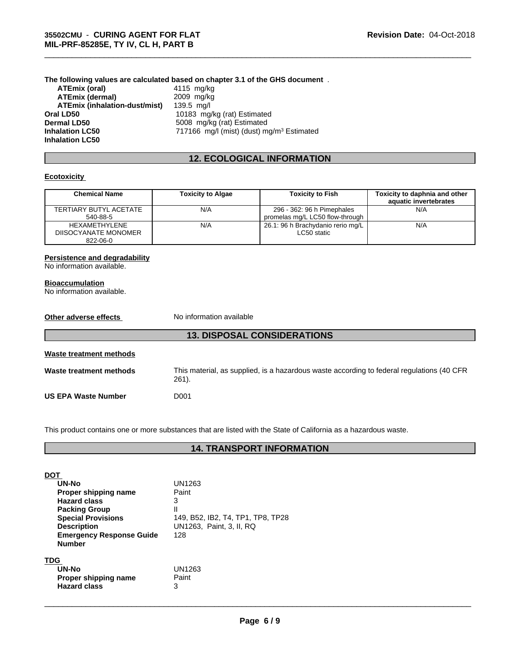**The following values are calculated based on chapter 3.1 of the GHS document** . **ATEmix (oral)** 4115 mg/kg<br> **ATEmix (dermal)** 2009 mg/kg **ATEmix (dermal)**<br>**ATEmix (inhalation-dust/mist)** 139.5 mg/l **ATEmix (inhalation-dust/mist)**<br>Oral LD50 **Oral LD50 Consumersal LD50 Consumersal LD50 Consumersal LD50 Consumersal LD50 Consumersal LD50 Consumersal LD50 Consumersal LD50 Consumersal LD50 Consumersal LD50 Consumersal LD50 Consumersal LD50 Dermal LD50** 5008 mg/kg (rat) Estimated<br> **Inhalation LC50** 5008 mg/l (mist) (dust) m 717166 mg/l (mist) (dust) mg/m<sup>3</sup> Estimated **Inhalation LC50**

# **12. ECOLOGICAL INFORMATION**

\_\_\_\_\_\_\_\_\_\_\_\_\_\_\_\_\_\_\_\_\_\_\_\_\_\_\_\_\_\_\_\_\_\_\_\_\_\_\_\_\_\_\_\_\_\_\_\_\_\_\_\_\_\_\_\_\_\_\_\_\_\_\_\_\_\_\_\_\_\_\_\_\_\_\_\_\_\_\_\_\_\_\_\_\_\_\_\_\_\_\_\_\_

# **Ecotoxicity**

| <b>Chemical Name</b>                              | <b>Toxicity to Algae</b> | Toxicity to Fish                                              | Toxicity to daphnia and other<br>aquatic invertebrates |
|---------------------------------------------------|--------------------------|---------------------------------------------------------------|--------------------------------------------------------|
| TERTIARY BUTYL ACETATE<br>540-88-5                | N/A                      | 296 - 362: 96 h Pimephales<br>promelas mg/L LC50 flow-through | N/A                                                    |
| HEXAMETHYLENE<br>DIISOCYANATE MONOMER<br>822-06-0 | N/A                      | 26.1: 96 h Brachydanio rerio mg/L<br>LC50 static              | N/A                                                    |

#### **Persistence and degradability**

No information available.

#### **Bioaccumulation**

No information available.

| Other adverse effects      | No information available                                                                              |
|----------------------------|-------------------------------------------------------------------------------------------------------|
|                            | <b>13. DISPOSAL CONSIDERATIONS</b>                                                                    |
| Waste treatment methods    |                                                                                                       |
| Waste treatment methods    | This material, as supplied, is a hazardous waste according to federal regulations (40 CFR<br>$261$ ). |
| <b>US EPA Waste Number</b> | D001                                                                                                  |

This product contains one or more substances that are listed with the State of California as a hazardous waste.

# **14. TRANSPORT INFORMATION**

| DOT<br>UN-No<br>Proper shipping name<br><b>Hazard class</b><br><b>Packing Group</b><br><b>Special Provisions</b><br><b>Description</b><br><b>Emergency Response Guide</b> | UN1263<br>Paint<br>3<br>$\mathsf{II}$<br>149, B52, IB2, T4, TP1, TP8, TP28<br>UN1263. Paint. 3. II. RQ<br>128 |
|---------------------------------------------------------------------------------------------------------------------------------------------------------------------------|---------------------------------------------------------------------------------------------------------------|
| <b>Number</b><br><b>TDG</b><br>UN-No<br>Proper shipping name<br><b>Hazard class</b>                                                                                       | UN1263<br>Paint<br>3                                                                                          |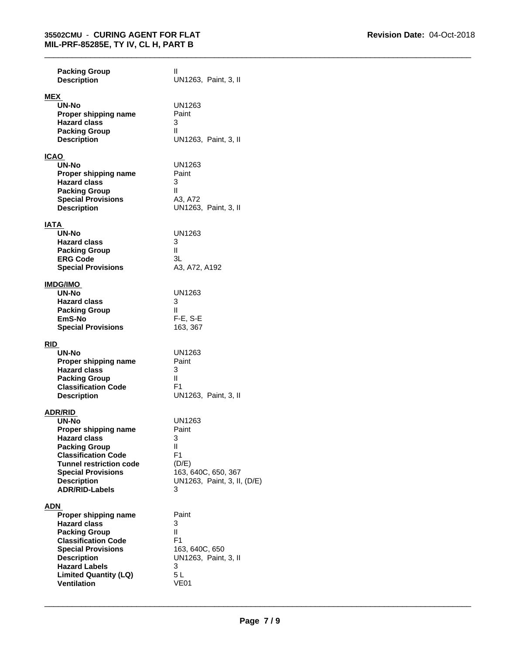\_\_\_\_\_\_\_\_\_\_\_\_\_\_\_\_\_\_\_\_\_\_\_\_\_\_\_\_\_\_\_\_\_\_\_\_\_\_\_\_\_\_\_\_\_\_\_\_\_\_\_\_\_\_\_\_\_\_\_\_\_\_\_\_\_\_\_\_\_\_\_\_\_\_\_\_\_\_\_\_\_\_\_\_\_\_\_\_\_\_\_\_\_

| <b>Packing Group</b><br><b>Description</b>                                                                                                                                                                                                 | Ш<br>UN1263, Paint, 3, II                                                                                                   |
|--------------------------------------------------------------------------------------------------------------------------------------------------------------------------------------------------------------------------------------------|-----------------------------------------------------------------------------------------------------------------------------|
| MEX<br>UN-No<br>Proper shipping name<br><b>Hazard class</b><br><b>Packing Group</b><br><b>Description</b>                                                                                                                                  | UN1263<br>Paint<br>3<br>Ш<br>UN1263, Paint, 3, II                                                                           |
| <b>ICAO</b><br><b>UN-No</b><br>Proper shipping name<br><b>Hazard class</b><br><b>Packing Group</b><br><b>Special Provisions</b><br><b>Description</b>                                                                                      | UN1263<br>Paint<br>3<br>Ш<br>A3, A72<br>UN1263, Paint, 3, II                                                                |
| IATA<br>UN-No<br><b>Hazard class</b><br><b>Packing Group</b><br><b>ERG Code</b><br><b>Special Provisions</b>                                                                                                                               | UN1263<br>3<br>Ш<br>3L<br>A3, A72, A192                                                                                     |
| <b>IMDG/IMO</b><br>UN-No<br><b>Hazard class</b><br><b>Packing Group</b><br>EmS-No<br><b>Special Provisions</b>                                                                                                                             | UN1263<br>3<br>Ш<br>$F-E$ , S-E<br>163, 367                                                                                 |
| <b>RID</b><br>UN-No<br>Proper shipping name<br><b>Hazard class</b><br><b>Packing Group</b><br><b>Classification Code</b><br><b>Description</b>                                                                                             | UN1263<br>Paint<br>3<br>Ш<br>F <sub>1</sub><br>UN1263, Paint, 3, II                                                         |
| ADR/RID<br><b>UN-No</b><br>Proper shipping name<br><b>Hazard class</b><br><b>Packing Group</b><br><b>Classification Code</b><br><b>Tunnel restriction code</b><br><b>Special Provisions</b><br><b>Description</b><br><b>ADR/RID-Labels</b> | UN1263<br>Paint<br>3<br>$\mathsf{II}$<br>F <sub>1</sub><br>(D/E)<br>163, 640C, 650, 367<br>UN1263, Paint, 3, II, (D/E)<br>3 |
| ADN<br>Proper shipping name<br><b>Hazard class</b><br><b>Packing Group</b><br><b>Classification Code</b><br><b>Special Provisions</b><br><b>Description</b><br><b>Hazard Labels</b><br><b>Limited Quantity (LQ)</b><br><b>Ventilation</b>  | Paint<br>3<br>$\mathsf{II}$<br>F <sub>1</sub><br>163, 640C, 650<br>UN1263, Paint, 3, II<br>3<br>5L<br><b>VE01</b>           |

**Ventilation**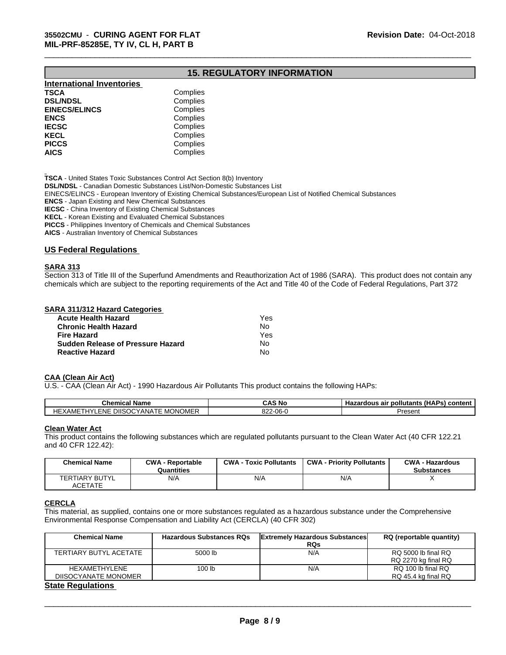# **15. REGULATORY INFORMATION**

\_\_\_\_\_\_\_\_\_\_\_\_\_\_\_\_\_\_\_\_\_\_\_\_\_\_\_\_\_\_\_\_\_\_\_\_\_\_\_\_\_\_\_\_\_\_\_\_\_\_\_\_\_\_\_\_\_\_\_\_\_\_\_\_\_\_\_\_\_\_\_\_\_\_\_\_\_\_\_\_\_\_\_\_\_\_\_\_\_\_\_\_\_

| Complies |  |
|----------|--|
| Complies |  |
| Complies |  |
| Complies |  |
| Complies |  |
| Complies |  |
| Complies |  |
| Complies |  |
|          |  |

**TSCA** - United States Toxic Substances Control Act Section 8(b) Inventory

**DSL/NDSL** - Canadian Domestic Substances List/Non-Domestic Substances List

EINECS/ELINCS - European Inventory of Existing Chemical Substances/European List of Notified Chemical Substances

**ENCS** - Japan Existing and New Chemical Substances

**IECSC** - China Inventory of Existing Chemical Substances

**KECL** - Korean Existing and Evaluated Chemical Substances

**PICCS** - Philippines Inventory of Chemicals and Chemical Substances

**AICS** - Australian Inventory of Chemical Substances

#### **US Federal Regulations**

### **SARA 313**

Section 313 of Title III of the Superfund Amendments and Reauthorization Act of 1986 (SARA). This product does not contain any chemicals which are subject to the reporting requirements of the Act and Title 40 of the Code of Federal Regulations, Part 372

#### **SARA 311/312 Hazard Categories**

| Acute Health Hazard               | Yes |  |
|-----------------------------------|-----|--|
| Chronic Health Hazard             | No. |  |
| Fire Hazard                       | Yes |  |
| Sudden Release of Pressure Hazard | No. |  |
| Reactive Hazard                   | N٥  |  |

#### **CAA (Clean Air Act)**

U.S. - CAA (Clean Air Act) - 1990 Hazardous Air Pollutants This product contains the following HAPs:

| . .<br><b>Chemical Name</b>                                                        | $\cdots$<br>CAS No<br>Ps) content<br>∶pollutants<br>. Hazardous air<br>. (HAP) |         |
|------------------------------------------------------------------------------------|--------------------------------------------------------------------------------|---------|
| <b>MONOME</b><br><b>DIISOCY</b><br>HE.<br>YANA<br>=NE<br>:XAME<br>$\cdot$ . $\sim$ | $\sim$<br><b>OG.</b><br>ے ے<br>vv u                                            | Present |

# **Clean Water Act**

This product contains the following substances which are regulated pollutants pursuant to the Clean Water Act (40 CFR 122.21 and 40 CFR 122.42):

| <b>Chemical Name</b>                    | <b>CWA - Reportable</b><br>Quantities | <b>CWA - Toxic Pollutants</b> | <b>CWA - Priority Pollutants</b> | <b>CWA - Hazardous</b><br><b>Substances</b> |
|-----------------------------------------|---------------------------------------|-------------------------------|----------------------------------|---------------------------------------------|
| <b>TERTIARY BUTYL</b><br><b>ACETATE</b> | N/A                                   | N/A                           | N/A                              |                                             |

# **CERCLA**

This material, as supplied, contains one or more substances regulated as a hazardous substance under the Comprehensive Environmental Response Compensation and Liability Act (CERCLA) (40 CFR 302)

| Chemical Name          | <b>Hazardous Substances RQs</b> | <b>Extremely Hazardous Substances</b> | RQ (reportable quantity) |
|------------------------|---------------------------------|---------------------------------------|--------------------------|
|                        |                                 | <b>RQs</b>                            |                          |
| TERTIARY BUTYL ACETATE | 5000 lb                         | N/A                                   | RQ 5000 lb final RQ      |
|                        |                                 |                                       | RQ 2270 kg final RQ      |
| HEXAMETHYLENE          | 100 lb                          | N/A                                   | RQ 100 lb final RQ       |
| DIISOCYANATE MONOMER   |                                 |                                       | RQ 45.4 kg final RQ      |
| Clair Damilations      |                                 |                                       |                          |

#### **State Regulations**